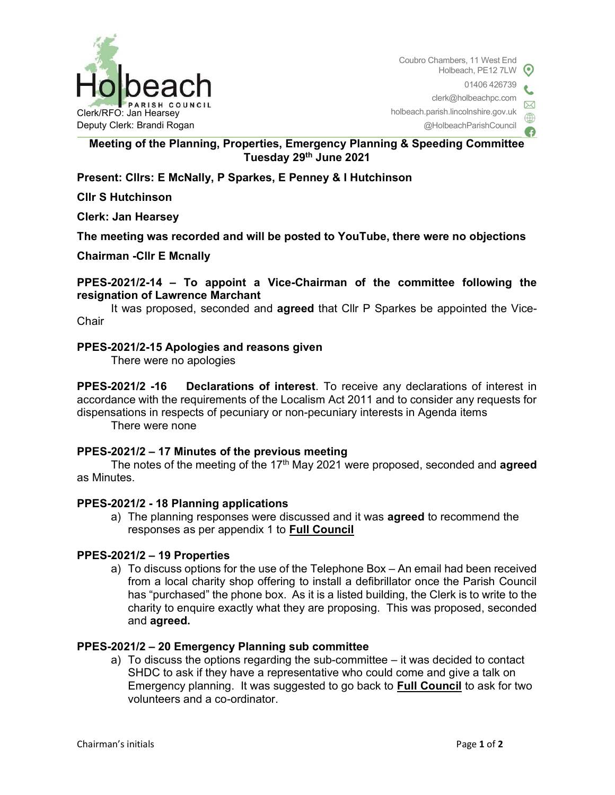

Coubro Chambers, 11 West End Holbeach, PE12 7LW 01406 426739 clerk@holbeachpc.com holbeach.parish.lincolnshire.gov.uk @HolbeachParishCouncil

# Meeting of the Planning, Properties, Emergency Planning & Speeding Committee Tuesday 29th June 2021

# Present: Cllrs: E McNally, P Sparkes, E Penney & I Hutchinson

Cllr S Hutchinson

Clerk: Jan Hearsey

The meeting was recorded and will be posted to YouTube, there were no objections

Chairman -Cllr E Mcnally

PPES-2021/2-14 – To appoint a Vice-Chairman of the committee following the resignation of Lawrence Marchant

It was proposed, seconded and **agreed** that Cllr P Sparkes be appointed the Vice-**Chair** 

#### PPES-2021/2-15 Apologies and reasons given

There were no apologies

PPES-2021/2 -16 Declarations of interest. To receive any declarations of interest in accordance with the requirements of the Localism Act 2011 and to consider any requests for dispensations in respects of pecuniary or non-pecuniary interests in Agenda items

There were none

#### PPES-2021/2 – 17 Minutes of the previous meeting

The notes of the meeting of the 17<sup>th</sup> May 2021 were proposed, seconded and **agreed** as Minutes.

## PPES-2021/2 - 18 Planning applications

a) The planning responses were discussed and it was **agreed** to recommend the responses as per appendix 1 to Full Council

#### PPES-2021/2 – 19 Properties

a) To discuss options for the use of the Telephone Box – An email had been received from a local charity shop offering to install a defibrillator once the Parish Council has "purchased" the phone box. As it is a listed building, the Clerk is to write to the charity to enquire exactly what they are proposing. This was proposed, seconded and agreed.

#### PPES-2021/2 – 20 Emergency Planning sub committee

a) To discuss the options regarding the sub-committee – it was decided to contact SHDC to ask if they have a representative who could come and give a talk on Emergency planning. It was suggested to go back to Full Council to ask for two volunteers and a co-ordinator.